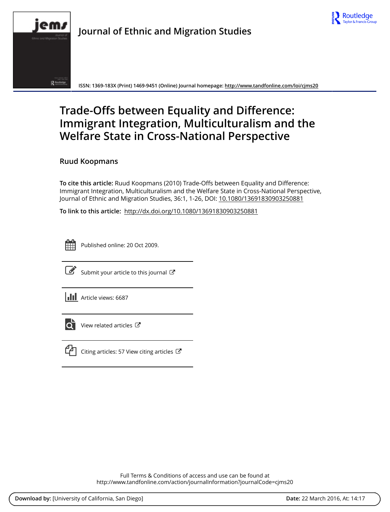



**Journal of Ethnic and Migration Studies**

**ISSN: 1369-183X (Print) 1469-9451 (Online) Journal homepage: <http://www.tandfonline.com/loi/cjms20>**

# **Trade-Offs between Equality and Difference: Immigrant Integration, Multiculturalism and the Welfare State in Cross-National Perspective**

**Ruud Koopmans**

**To cite this article:** Ruud Koopmans (2010) Trade-Offs between Equality and Difference: Immigrant Integration, Multiculturalism and the Welfare State in Cross-National Perspective, Journal of Ethnic and Migration Studies, 36:1, 1-26, DOI: [10.1080/13691830903250881](http://www.tandfonline.com/action/showCitFormats?doi=10.1080/13691830903250881)

**To link to this article:** <http://dx.doi.org/10.1080/13691830903250881>



Published online: 20 Oct 2009.



[Submit your article to this journal](http://www.tandfonline.com/action/authorSubmission?journalCode=cjms20&page=instructions)  $\mathbb{Z}$ 





[View related articles](http://www.tandfonline.com/doi/mlt/10.1080/13691830903250881)  $\mathbb{Z}$ 



[Citing articles: 57 View citing articles](http://www.tandfonline.com/doi/citedby/10.1080/13691830903250881#tabModule)  $\mathbb{C}^{\bullet}$ 

Full Terms & Conditions of access and use can be found at <http://www.tandfonline.com/action/journalInformation?journalCode=cjms20>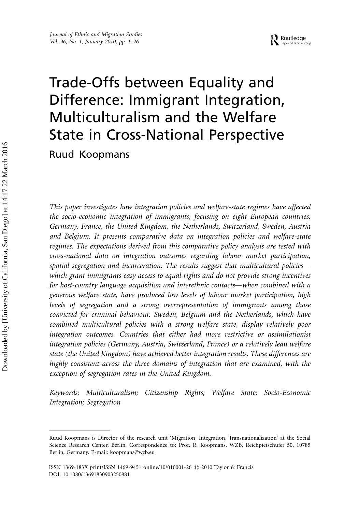# Trade-Offs between Equality and Difference: Immigrant Integration, Multiculturalism and the Welfare State in Cross-National Perspective

Ruud Koopmans

This paper investigates how integration policies and welfare-state regimes have affected the socio-economic integration of immigrants, focusing on eight European countries: Germany, France, the United Kingdom, the Netherlands, Switzerland, Sweden, Austria and Belgium. It presents comparative data on integration policies and welfare-state regimes. The expectations derived from this comparative policy analysis are tested with cross-national data on integration outcomes regarding labour market participation, spatial segregation and incarceration. The results suggest that multicultural policieswhich grant immigrants easy access to equal rights and do not provide strong incentives for host-country language acquisition and interethnic contacts—when combined with a generous welfare state, have produced low levels of labour market participation, high levels of segregation and a strong overrepresentation of immigrants among those convicted for criminal behaviour. Sweden, Belgium and the Netherlands, which have combined multicultural policies with a strong welfare state, display relatively poor integration outcomes. Countries that either had more restrictive or assimilationist integration policies (Germany, Austria, Switzerland, France) or a relatively lean welfare state (the United Kingdom) have achieved better integration results. These differences are highly consistent across the three domains of integration that are examined, with the exception of segregation rates in the United Kingdom.

Keywords: Multiculturalism; Citizenship Rights; Welfare State; Socio-Economic Integration; Segregation

Ruud Koopmans is Director of the research unit 'Migration, Integration, Transnationalization' at the Social Science Research Center, Berlin. Correspondence to: Prof. R. Koopmans, WZB, Reichpietschufer 50, 10785 Berlin, Germany. E-mail: koopmans@wzb.eu

ISSN 1369-183X print/ISSN 1469-9451 online/10/010001-26 © 2010 Taylor & Francis DOI: 10.1080/13691830903250881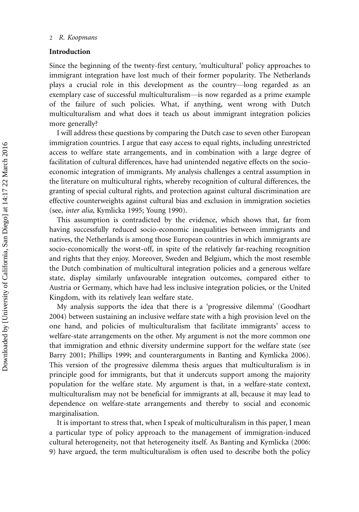# Introduction

Since the beginning of the twenty-first century, 'multicultural' policy approaches to immigrant integration have lost much of their former popularity. The Netherlands plays a crucial role in this development as the country—long regarded as an exemplary case of successful multiculturalism—is now regarded as a prime example of the failure of such policies. What, if anything, went wrong with Dutch multiculturalism and what does it teach us about immigrant integration policies more generally?

I will address these questions by comparing the Dutch case to seven other European immigration countries. I argue that easy access to equal rights, including unrestricted access to welfare state arrangements, and in combination with a large degree of facilitation of cultural differences, have had unintended negative effects on the socioeconomic integration of immigrants. My analysis challenges a central assumption in the literature on multicultural rights, whereby recognition of cultural differences, the granting of special cultural rights, and protection against cultural discrimination are effective counterweights against cultural bias and exclusion in immigration societies (see, inter alia, Kymlicka 1995; Young 1990).

This assumption is contradicted by the evidence, which shows that, far from having successfully reduced socio-economic inequalities between immigrants and natives, the Netherlands is among those European countries in which immigrants are socio-economically the worst-off, in spite of the relatively far-reaching recognition and rights that they enjoy. Moreover, Sweden and Belgium, which the most resemble the Dutch combination of multicultural integration policies and a generous welfare state, display similarly unfavourable integration outcomes, compared either to Austria or Germany, which have had less inclusive integration policies, or the United Kingdom, with its relatively lean welfare state.

My analysis supports the idea that there is a 'progressive dilemma' (Goodhart 2004) between sustaining an inclusive welfare state with a high provision level on the one hand, and policies of multiculturalism that facilitate immigrants' access to welfare-state arrangements on the other. My argument is not the more common one that immigration and ethnic diversity undermine support for the welfare state (see Barry 2001; Phillips 1999; and counterarguments in Banting and Kymlicka 2006). This version of the progressive dilemma thesis argues that multiculturalism is in principle good for immigrants, but that it undercuts support among the majority population for the welfare state. My argument is that, in a welfare-state context, multiculturalism may not be beneficial for immigrants at all, because it may lead to dependence on welfare-state arrangements and thereby to social and economic marginalisation.

It is important to stress that, when I speak of multiculturalism in this paper, I mean a particular type of policy approach to the management of immigration-induced cultural heterogeneity, not that heterogeneity itself. As Banting and Kymlicka (2006: 9) have argued, the term multiculturalism is often used to describe both the policy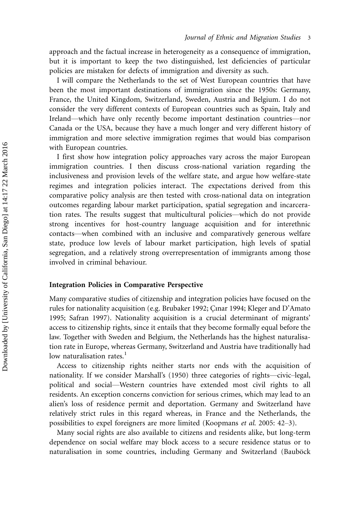approach and the factual increase in heterogeneity as a consequence of immigration, but it is important to keep the two distinguished, lest deficiencies of particular policies are mistaken for defects of immigration and diversity as such.

I will compare the Netherlands to the set of West European countries that have been the most important destinations of immigration since the 1950s: Germany, France, the United Kingdom, Switzerland, Sweden, Austria and Belgium. I do not consider the very different contexts of European countries such as Spain, Italy and Ireland—which have only recently become important destination countries—nor Canada or the USA, because they have a much longer and very different history of immigration and more selective immigration regimes that would bias comparison with European countries.

I first show how integration policy approaches vary across the major European immigration countries. I then discuss cross-national variation regarding the inclusiveness and provision levels of the welfare state, and argue how welfare-state regimes and integration policies interact. The expectations derived from this comparative policy analysis are then tested with cross-national data on integration outcomes regarding labour market participation, spatial segregation and incarceration rates. The results suggest that multicultural policies—which do not provide strong incentives for host-country language acquisition and for interethnic contacts—when combined with an inclusive and comparatively generous welfare state, produce low levels of labour market participation, high levels of spatial segregation, and a relatively strong overrepresentation of immigrants among those involved in criminal behaviour.

# Integration Policies in Comparative Perspective

Many comparative studies of citizenship and integration policies have focused on the rules for nationality acquisition (e.g. Brubaker 1992; Cinar 1994; Kleger and D'Amato 1995; Safran 1997). Nationality acquisition is a crucial determinant of migrants' access to citizenship rights, since it entails that they become formally equal before the law. Together with Sweden and Belgium, the Netherlands has the highest naturalisation rate in Europe, whereas Germany, Switzerland and Austria have traditionally had low naturalisation rates.<sup>1</sup>

Access to citizenship rights neither starts nor ends with the acquisition of nationality. If we consider Marshall's (1950) three categories of rights—civic–legal, political and social-Western countries have extended most civil rights to all residents. An exception concerns conviction for serious crimes, which may lead to an alien's loss of residence permit and deportation. Germany and Switzerland have relatively strict rules in this regard whereas, in France and the Netherlands, the possibilities to expel foreigners are more limited (Koopmans et al. 2005: 42-3).

Many social rights are also available to citizens and residents alike, but long-term dependence on social welfare may block access to a secure residence status or to naturalisation in some countries, including Germany and Switzerland (Bauböck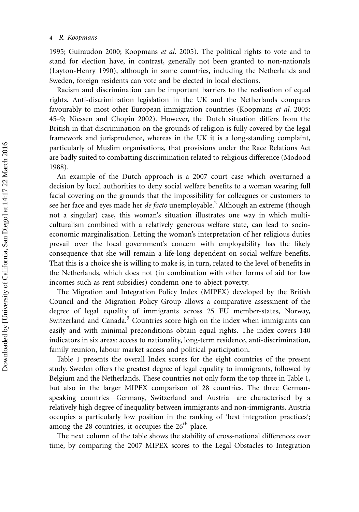1995; Guiraudon 2000; Koopmans et al. 2005). The political rights to vote and to stand for election have, in contrast, generally not been granted to non-nationals (Layton-Henry 1990), although in some countries, including the Netherlands and Sweden, foreign residents can vote and be elected in local elections.

Racism and discrimination can be important barriers to the realisation of equal rights. Anti-discrimination legislation in the UK and the Netherlands compares favourably to most other European immigration countries (Koopmans et al. 2005: 45-9; Niessen and Chopin 2002). However, the Dutch situation differs from the British in that discrimination on the grounds of religion is fully covered by the legal framework and jurisprudence, whereas in the UK it is a long-standing complaint, particularly of Muslim organisations, that provisions under the Race Relations Act are badly suited to combatting discrimination related to religious difference (Modood 1988).

An example of the Dutch approach is a 2007 court case which overturned a decision by local authorities to deny social welfare benefits to a woman wearing full facial covering on the grounds that the impossibility for colleagues or customers to see her face and eyes made her *de facto* unemployable.<sup>2</sup> Although an extreme (though not a singular) case, this woman's situation illustrates one way in which multiculturalism combined with a relatively generous welfare state, can lead to socioeconomic marginalisation. Letting the woman's interpretation of her religious duties prevail over the local government's concern with employability has the likely consequence that she will remain a life-long dependent on social welfare benefits. That this is a choice she is willing to make is, in turn, related to the level of benefits in the Netherlands, which does not (in combination with other forms of aid for low incomes such as rent subsidies) condemn one to abject poverty.

The Migration and Integration Policy Index (MIPEX) developed by the British Council and the Migration Policy Group allows a comparative assessment of the degree of legal equality of immigrants across 25 EU member-states, Norway, Switzerland and Canada.<sup>3</sup> Countries score high on the index when immigrants can easily and with minimal preconditions obtain equal rights. The index covers 140 indicators in six areas: access to nationality, long-term residence, anti-discrimination, family reunion, labour market access and political participation.

Table 1 presents the overall Index scores for the eight countries of the present study. Sweden offers the greatest degree of legal equality to immigrants, followed by Belgium and the Netherlands. These countries not only form the top three in Table 1, but also in the larger MIPEX comparison of 28 countries. The three Germanspeaking countries—Germany, Switzerland and Austria—are characterised by a relatively high degree of inequality between immigrants and non-immigrants. Austria occupies a particularly low position in the ranking of 'best integration practices'; among the 28 countries, it occupies the  $26<sup>th</sup>$  place.

The next column of the table shows the stability of cross-national differences over time, by comparing the 2007 MIPEX scores to the Legal Obstacles to Integration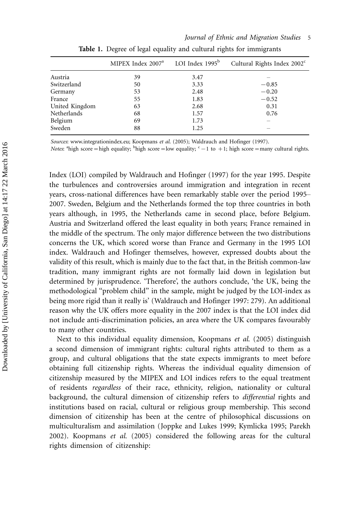|                | MIPEX Index $2007^a$ LOI Index $1995^b$ |      | Cultural Rights Index 2002 <sup>c</sup> |
|----------------|-----------------------------------------|------|-----------------------------------------|
| Austria        | 39                                      | 3.47 |                                         |
| Switzerland    | 50                                      | 3.33 | $-0.85$                                 |
| Germany        | 53                                      | 2.48 | $-0.20$                                 |
| France         | 55                                      | 1.83 | $-0.52$                                 |
| United Kingdom | 63                                      | 2.68 | 0.31                                    |
| Netherlands    | 68                                      | 1.57 | 0.76                                    |

Table 1. Degree of legal equality and cultural rights for immigrants

Journal of Ethnic and Migration Studies 5

Sources: [www.integrationindex.eu](http://www.migrationinformation.org/); Koopmans et al. (2005); Waldrauch and Hofinger (1997).

Belgium 69 1.73 - 2014 Sweden 88 1.25 -

*Notes*: <sup>a</sup>high score = high equality; <sup>b</sup>high score = low equality; <sup>c</sup> - 1 to +1; high score = many cultural rights.

Index (LOI) compiled by Waldrauch and Hofinger (1997) for the year 1995. Despite the turbulences and controversies around immigration and integration in recent years, cross-national differences have been remarkably stable over the period 1995- 2007. Sweden, Belgium and the Netherlands formed the top three countries in both years although, in 1995, the Netherlands came in second place, before Belgium. Austria and Switzerland offered the least equality in both years; France remained in the middle of the spectrum. The only major difference between the two distributions concerns the UK, which scored worse than France and Germany in the 1995 LOI index. Waldrauch and Hofinger themselves, however, expressed doubts about the validity of this result, which is mainly due to the fact that, in the British common-law tradition, many immigrant rights are not formally laid down in legislation but determined by jurisprudence. 'Therefore', the authors conclude, 'the UK, being the methodological ''problem child'' in the sample, might be judged by the LOI-index as being more rigid than it really is' (Waldrauch and Hofinger 1997: 279). An additional reason why the UK offers more equality in the 2007 index is that the LOI index did not include anti-discrimination policies, an area where the UK compares favourably to many other countries.

Next to this individual equality dimension, Koopmans et al. (2005) distinguish a second dimension of immigrant rights: cultural rights attributed to them as a group, and cultural obligations that the state expects immigrants to meet before obtaining full citizenship rights. Whereas the individual equality dimension of citizenship measured by the MIPEX and LOI indices refers to the equal treatment of residents regardless of their race, ethnicity, religion, nationality or cultural background, the cultural dimension of citizenship refers to differential rights and institutions based on racial, cultural or religious group membership. This second dimension of citizenship has been at the centre of philosophical discussions on multiculturalism and assimilation (Joppke and Lukes 1999; Kymlicka 1995; Parekh 2002). Koopmans et al. (2005) considered the following areas for the cultural rights dimension of citizenship: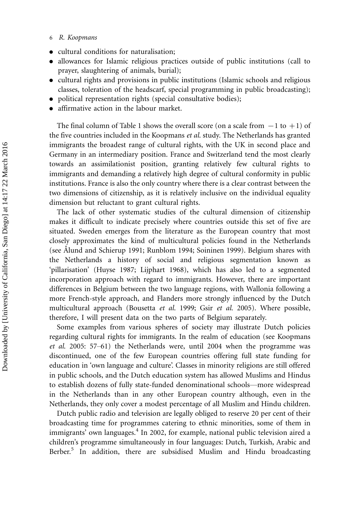- 6 R. Koopmans
- . cultural conditions for naturalisation;
- . allowances for Islamic religious practices outside of public institutions (call to prayer, slaughtering of animals, burial);
- . cultural rights and provisions in public institutions (Islamic schools and religious classes, toleration of the headscarf, special programming in public broadcasting);
- . political representation rights (special consultative bodies);
- . affirmative action in the labour market.

The final column of Table 1 shows the overall score (on a scale from  $-1$  to  $+1$ ) of the five countries included in the Koopmans *et al.* study. The Netherlands has granted immigrants the broadest range of cultural rights, with the UK in second place and Germany in an intermediary position. France and Switzerland tend the most clearly towards an assimilationist position, granting relatively few cultural rights to immigrants and demanding a relatively high degree of cultural conformity in public institutions. France is also the only country where there is a clear contrast between the two dimensions of citizenship, as it is relatively inclusive on the individual equality dimension but reluctant to grant cultural rights.

The lack of other systematic studies of the cultural dimension of citizenship makes it difficult to indicate precisely where countries outside this set of five are situated. Sweden emerges from the literature as the European country that most closely approximates the kind of multicultural policies found in the Netherlands (see Ålund and Schierup 1991; Runblom 1994; Soininen 1999). Belgium shares with the Netherlands a history of social and religious segmentation known as 'pillarisation' (Huyse 1987; Lijphart 1968), which has also led to a segmented incorporation approach with regard to immigrants. However, there are important differences in Belgium between the two language regions, with Wallonia following a more French-style approach, and Flanders more strongly influenced by the Dutch multicultural approach (Bousetta et al. 1999; Gsir et al. 2005). Where possible, therefore, I will present data on the two parts of Belgium separately.

Some examples from various spheres of society may illustrate Dutch policies regarding cultural rights for immigrants. In the realm of education (see Koopmans et al. 2005: 57-61) the Netherlands were, until 2004 when the programme was discontinued, one of the few European countries offering full state funding for education in 'own language and culture'. Classes in minority religions are still offered in public schools, and the Dutch education system has allowed Muslims and Hindus to establish dozens of fully state-funded denominational schools-more widespread in the Netherlands than in any other European country although, even in the Netherlands, they only cover a modest percentage of all Muslim and Hindu children.

Dutch public radio and television are legally obliged to reserve 20 per cent of their broadcasting time for programmes catering to ethnic minorities, some of them in immigrants' own languages.<sup>4</sup> In 2002, for example, national public television aired a children's programme simultaneously in four languages: Dutch, Turkish, Arabic and Berber.<sup>5</sup> In addition, there are subsidised Muslim and Hindu broadcasting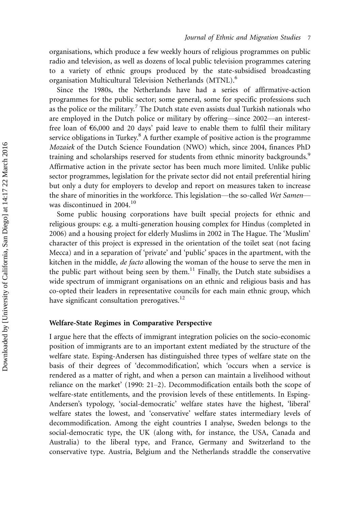organisations, which produce a few weekly hours of religious programmes on public radio and television, as well as dozens of local public television programmes catering to a variety of ethnic groups produced by the state-subsidised broadcasting organisation Multicultural Television Netherlands (MTNL).6

Since the 1980s, the Netherlands have had a series of affirmative-action programmes for the public sector; some general, some for specific professions such as the police or the military.<sup>7</sup> The Dutch state even assists dual Turkish nationals who are employed in the Dutch police or military by offering—since 2002—an interestfree loan of  $\epsilon$ 6,000 and 20 days' paid leave to enable them to fulfil their military service obligations in Turkey. $8$  A further example of positive action is the programme Mozaiek of the Dutch Science Foundation (NWO) which, since 2004, finances PhD training and scholarships reserved for students from ethnic minority backgrounds.<sup>9</sup> Affirmative action in the private sector has been much more limited. Unlike public sector programmes, legislation for the private sector did not entail preferential hiring but only a duty for employers to develop and report on measures taken to increase the share of minorities in the workforce. This legislation-the so-called Wet Samenwas discontinued in 2004.<sup>10</sup>

Some public housing corporations have built special projects for ethnic and religious groups: e.g. a multi-generation housing complex for Hindus (completed in 2006) and a housing project for elderly Muslims in 2002 in The Hague. The 'Muslim' character of this project is expressed in the orientation of the toilet seat (not facing Mecca) and in a separation of 'private' and 'public' spaces in the apartment, with the kitchen in the middle, *de facto* allowing the woman of the house to serve the men in the public part without being seen by them. $11$  Finally, the Dutch state subsidises a wide spectrum of immigrant organisations on an ethnic and religious basis and has co-opted their leaders in representative councils for each main ethnic group, which have significant consultation prerogatives.<sup>12</sup>

### Welfare-State Regimes in Comparative Perspective

I argue here that the effects of immigrant integration policies on the socio-economic position of immigrants are to an important extent mediated by the structure of the welfare state. Esping-Andersen has distinguished three types of welfare state on the basis of their degrees of 'decommodification', which 'occurs when a service is rendered as a matter of right, and when a person can maintain a livelihood without reliance on the market' (1990: 21-2). Decommodification entails both the scope of welfare-state entitlements, and the provision levels of these entitlements. In Esping-Andersen's typology, 'social-democratic' welfare states have the highest, 'liberal' welfare states the lowest, and 'conservative' welfare states intermediary levels of decommodification. Among the eight countries I analyse, Sweden belongs to the social-democratic type, the UK (along with, for instance, the USA, Canada and Australia) to the liberal type, and France, Germany and Switzerland to the conservative type. Austria, Belgium and the Netherlands straddle the conservative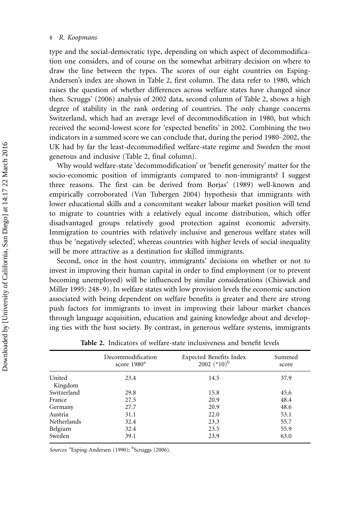type and the social-democratic type, depending on which aspect of decommodification one considers, and of course on the somewhat arbitrary decision on where to draw the line between the types. The scores of our eight countries on Esping-Andersen's index are shown in Table 2, first column. The data refer to 1980, which raises the question of whether differences across welfare states have changed since then. Scruggs' (2006) analysis of 2002 data, second column of Table 2, shows a high degree of stability in the rank ordering of countries. The only change concerns Switzerland, which had an average level of decommodification in 1980, but which received the second-lowest score for 'expected benefits' in 2002. Combining the two indicators in a summed score we can conclude that, during the period 1980-2002, the UK had by far the least-decommodified welfare-state regime and Sweden the most generous and inclusive (Table 2, final column).

Why would welfare-state 'decommodification' or 'benefit generosity' matter for the socio-economic position of immigrants compared to non-immigrants? I suggest three reasons. The first can be derived from Borjas' (1989) well-known and empirically corroborated (Van Tubergen 2004) hypothesis that immigrants with lower educational skills and a concomitant weaker labour market position will tend to migrate to countries with a relatively equal income distribution, which offer disadvantaged groups relatively good protection against economic adversity. Immigration to countries with relatively inclusive and generous welfare states will thus be 'negatively selected', whereas countries with higher levels of social inequality will be more attractive as a destination for skilled immigrants.

Second, once in the host country, immigrants' decisions on whether or not to invest in improving their human capital in order to find employment (or to prevent becoming unemployed) will be influenced by similar considerations (Chiswick and Miller 1995: 248-9). In welfare states with low provision levels the economic sanction associated with being dependent on welfare benefits is greater and there are strong push factors for immigrants to invest in improving their labour market chances through language acquisition, education and gaining knowledge about and developing ties with the host society. By contrast, in generous welfare systems, immigrants

|                   | Decommodification<br>score $1980^a$ | Expected Benefits Index<br>$2002 (*10)^b$ | Summed<br>score |
|-------------------|-------------------------------------|-------------------------------------------|-----------------|
| United<br>Kingdom | 23.4                                | 14.5                                      | 37.9            |
| Switzerland       | 29.8                                | 15.8                                      | 45.6            |
| France            | 27.5                                | 20.9                                      | 48.4            |
| Germany           | 27.7                                | 20.9                                      | 48.6            |
| Austria           | 31.1                                | 22.0                                      | 53.1            |
| Netherlands       | 32.4                                | 23.3                                      | 55.7            |
| Belgium           | 32.4                                | 23.5                                      | 55.9            |
| Sweden            | 39.1                                | 23.9                                      | 63.0            |

Table 2. Indicators of welfare-state inclusiveness and benefit levels

Sources: <sup>a</sup>Esping-Andersen (1990); <sup>b</sup>Scruggs (2006).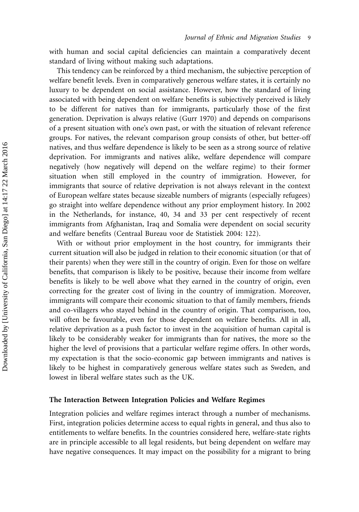with human and social capital deficiencies can maintain a comparatively decent standard of living without making such adaptations.

This tendency can be reinforced by a third mechanism, the subjective perception of welfare benefit levels. Even in comparatively generous welfare states, it is certainly no luxury to be dependent on social assistance. However, how the standard of living associated with being dependent on welfare benefits is subjectively perceived is likely to be different for natives than for immigrants, particularly those of the first generation. Deprivation is always relative (Gurr 1970) and depends on comparisons of a present situation with one's own past, or with the situation of relevant reference groups. For natives, the relevant comparison group consists of other, but better-off natives, and thus welfare dependence is likely to be seen as a strong source of relative deprivation. For immigrants and natives alike, welfare dependence will compare negatively (how negatively will depend on the welfare regime) to their former situation when still employed in the country of immigration. However, for immigrants that source of relative deprivation is not always relevant in the context of European welfare states because sizeable numbers of migrants (especially refugees) go straight into welfare dependence without any prior employment history. In 2002 in the Netherlands, for instance, 40, 34 and 33 per cent respectively of recent immigrants from Afghanistan, Iraq and Somalia were dependent on social security and welfare benefits (Centraal Bureau voor de Statistiek 2004: 122).

With or without prior employment in the host country, for immigrants their current situation will also be judged in relation to their economic situation (or that of their parents) when they were still in the country of origin. Even for those on welfare benefits, that comparison is likely to be positive, because their income from welfare benefits is likely to be well above what they earned in the country of origin, even correcting for the greater cost of living in the country of immigration. Moreover, immigrants will compare their economic situation to that of family members, friends and co-villagers who stayed behind in the country of origin. That comparison, too, will often be favourable, even for those dependent on welfare benefits. All in all, relative deprivation as a push factor to invest in the acquisition of human capital is likely to be considerably weaker for immigrants than for natives, the more so the higher the level of provisions that a particular welfare regime offers. In other words, my expectation is that the socio-economic gap between immigrants and natives is likely to be highest in comparatively generous welfare states such as Sweden, and lowest in liberal welfare states such as the UK.

### The Interaction Between Integration Policies and Welfare Regimes

Integration policies and welfare regimes interact through a number of mechanisms. First, integration policies determine access to equal rights in general, and thus also to entitlements to welfare benefits. In the countries considered here, welfare-state rights are in principle accessible to all legal residents, but being dependent on welfare may have negative consequences. It may impact on the possibility for a migrant to bring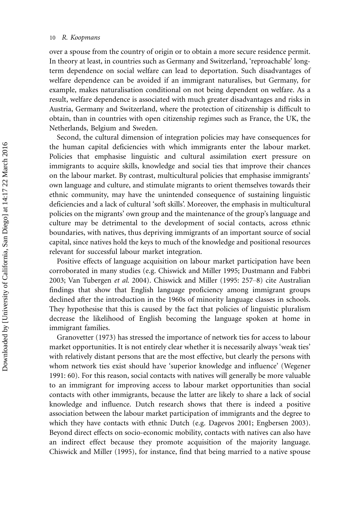over a spouse from the country of origin or to obtain a more secure residence permit. In theory at least, in countries such as Germany and Switzerland, 'reproachable' longterm dependence on social welfare can lead to deportation. Such disadvantages of welfare dependence can be avoided if an immigrant naturalises, but Germany, for example, makes naturalisation conditional on not being dependent on welfare. As a result, welfare dependence is associated with much greater disadvantages and risks in Austria, Germany and Switzerland, where the protection of citizenship is difficult to obtain, than in countries with open citizenship regimes such as France, the UK, the Netherlands, Belgium and Sweden.

Second, the cultural dimension of integration policies may have consequences for the human capital deficiencies with which immigrants enter the labour market. Policies that emphasise linguistic and cultural assimilation exert pressure on immigrants to acquire skills, knowledge and social ties that improve their chances on the labour market. By contrast, multicultural policies that emphasise immigrants' own language and culture, and stimulate migrants to orient themselves towards their ethnic community, may have the unintended consequence of sustaining linguistic deficiencies and a lack of cultural 'soft skills'. Moreover, the emphasis in multicultural policies on the migrants' own group and the maintenance of the group's language and culture may be detrimental to the development of social contacts, across ethnic boundaries, with natives, thus depriving immigrants of an important source of social capital, since natives hold the keys to much of the knowledge and positional resources relevant for successful labour market integration.

Positive effects of language acquisition on labour market participation have been corroborated in many studies (e.g. Chiswick and Miller 1995; Dustmann and Fabbri 2003; Van Tubergen et al. 2004). Chiswick and Miller (1995: 257-8) cite Australian findings that show that English language proficiency among immigrant groups declined after the introduction in the 1960s of minority language classes in schools. They hypothesise that this is caused by the fact that policies of linguistic pluralism decrease the likelihood of English becoming the language spoken at home in immigrant families.

Granovetter (1973) has stressed the importance of network ties for access to labour market opportunities. It is not entirely clear whether it is necessarily always 'weak ties' with relatively distant persons that are the most effective, but clearly the persons with whom network ties exist should have 'superior knowledge and influence' (Wegener 1991: 60). For this reason, social contacts with natives will generally be more valuable to an immigrant for improving access to labour market opportunities than social contacts with other immigrants, because the latter are likely to share a lack of social knowledge and influence. Dutch research shows that there is indeed a positive association between the labour market participation of immigrants and the degree to which they have contacts with ethnic Dutch (e.g. Dagevos 2001; Engbersen 2003). Beyond direct effects on socio-economic mobility, contacts with natives can also have an indirect effect because they promote acquisition of the majority language. Chiswick and Miller (1995), for instance, find that being married to a native spouse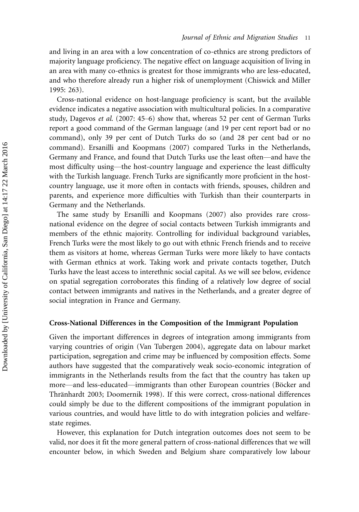and living in an area with a low concentration of co-ethnics are strong predictors of majority language proficiency. The negative effect on language acquisition of living in an area with many co-ethnics is greatest for those immigrants who are less-educated, and who therefore already run a higher risk of unemployment (Chiswick and Miller 1995: 263).

Cross-national evidence on host-language proficiency is scant, but the available evidence indicates a negative association with multicultural policies. In a comparative study, Dagevos *et al*. (2007: 45–6) show that, whereas 52 per cent of German Turks report a good command of the German language (and 19 per cent report bad or no command), only 39 per cent of Dutch Turks do so (and 28 per cent bad or no command). Ersanilli and Koopmans (2007) compared Turks in the Netherlands, Germany and France, and found that Dutch Turks use the least often-and have the most difficulty using—the host-country language and experience the least difficulty with the Turkish language. French Turks are significantly more proficient in the hostcountry language, use it more often in contacts with friends, spouses, children and parents, and experience more difficulties with Turkish than their counterparts in Germany and the Netherlands.

The same study by Ersanilli and Koopmans (2007) also provides rare crossnational evidence on the degree of social contacts between Turkish immigrants and members of the ethnic majority. Controlling for individual background variables, French Turks were the most likely to go out with ethnic French friends and to receive them as visitors at home, whereas German Turks were more likely to have contacts with German ethnics at work. Taking work and private contacts together, Dutch Turks have the least access to interethnic social capital. As we will see below, evidence on spatial segregation corroborates this finding of a relatively low degree of social contact between immigrants and natives in the Netherlands, and a greater degree of social integration in France and Germany.

#### Cross-National Differences in the Composition of the Immigrant Population

Given the important differences in degrees of integration among immigrants from varying countries of origin (Van Tubergen 2004), aggregate data on labour market participation, segregation and crime may be influenced by composition effects. Some authors have suggested that the comparatively weak socio-economic integration of immigrants in the Netherlands results from the fact that the country has taken up more—and less-educated—immigrants than other European countries (Böcker and Thränhardt 2003; Doomernik 1998). If this were correct, cross-national differences could simply be due to the different compositions of the immigrant population in various countries, and would have little to do with integration policies and welfarestate regimes.

However, this explanation for Dutch integration outcomes does not seem to be valid, nor does it fit the more general pattern of cross-national differences that we will encounter below, in which Sweden and Belgium share comparatively low labour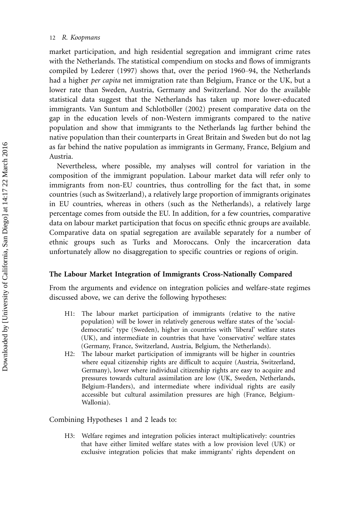market participation, and high residential segregation and immigrant crime rates with the Netherlands. The statistical compendium on stocks and flows of immigrants compiled by Lederer (1997) shows that, over the period 1960-94, the Netherlands had a higher *per capita* net immigration rate than Belgium, France or the UK, but a lower rate than Sweden, Austria, Germany and Switzerland. Nor do the available statistical data suggest that the Netherlands has taken up more lower-educated immigrants. Van Suntum and Schlotböller (2002) present comparative data on the gap in the education levels of non-Western immigrants compared to the native population and show that immigrants to the Netherlands lag further behind the native population than their counterparts in Great Britain and Sweden but do not lag as far behind the native population as immigrants in Germany, France, Belgium and Austria.

Nevertheless, where possible, my analyses will control for variation in the composition of the immigrant population. Labour market data will refer only to immigrants from non-EU countries, thus controlling for the fact that, in some countries (such as Switzerland), a relatively large proportion of immigrants originates in EU countries, whereas in others (such as the Netherlands), a relatively large percentage comes from outside the EU. In addition, for a few countries, comparative data on labour market participation that focus on specific ethnic groups are available. Comparative data on spatial segregation are available separately for a number of ethnic groups such as Turks and Moroccans. Only the incarceration data unfortunately allow no disaggregation to specific countries or regions of origin.

### The Labour Market Integration of Immigrants Cross-Nationally Compared

From the arguments and evidence on integration policies and welfare-state regimes discussed above, we can derive the following hypotheses:

- H1: The labour market participation of immigrants (relative to the native population) will be lower in relatively generous welfare states of the 'socialdemocratic' type (Sweden), higher in countries with 'liberal' welfare states (UK), and intermediate in countries that have 'conservative' welfare states (Germany, France, Switzerland, Austria, Belgium, the Netherlands).
- H2: The labour market participation of immigrants will be higher in countries where equal citizenship rights are difficult to acquire (Austria, Switzerland, Germany), lower where individual citizenship rights are easy to acquire and pressures towards cultural assimilation are low (UK, Sweden, Netherlands, Belgium-Flanders), and intermediate where individual rights are easily accessible but cultural assimilation pressures are high (France, Belgium-Wallonia).

#### Combining Hypotheses 1 and 2 leads to:

H3: Welfare regimes and integration policies interact multiplicatively: countries that have either limited welfare states with a low provision level (UK) or exclusive integration policies that make immigrants' rights dependent on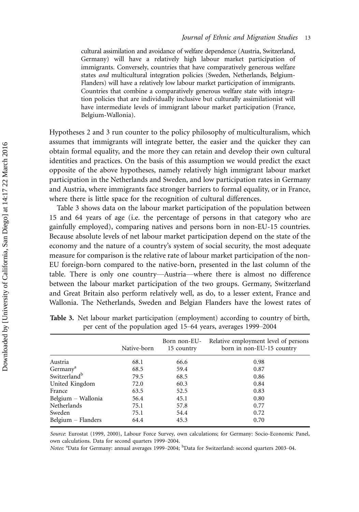cultural assimilation and avoidance of welfare dependence (Austria, Switzerland, Germany) will have a relatively high labour market participation of immigrants. Conversely, countries that have comparatively generous welfare states and multicultural integration policies (Sweden, Netherlands, Belgium-Flanders) will have a relatively low labour market participation of immigrants. Countries that combine a comparatively generous welfare state with integration policies that are individually inclusive but culturally assimilationist will have intermediate levels of immigrant labour market participation (France, Belgium-Wallonia).

Hypotheses 2 and 3 run counter to the policy philosophy of multiculturalism, which assumes that immigrants will integrate better, the easier and the quicker they can obtain formal equality, and the more they can retain and develop their own cultural identities and practices. On the basis of this assumption we would predict the exact opposite of the above hypotheses, namely relatively high immigrant labour market participation in the Netherlands and Sweden, and low participation rates in Germany and Austria, where immigrants face stronger barriers to formal equality, or in France, where there is little space for the recognition of cultural differences.

Table 3 shows data on the labour market participation of the population between 15 and 64 years of age (i.e. the percentage of persons in that category who are gainfully employed), comparing natives and persons born in non-EU-15 countries. Because absolute levels of net labour market participation depend on the state of the economy and the nature of a country's system of social security, the most adequate measure for comparison is the relative rate of labour market participation of the non-EU foreign-born compared to the native-born, presented in the last column of the table. There is only one country—Austria—where there is almost no difference between the labour market participation of the two groups. Germany, Switzerland and Great Britain also perform relatively well, as do, to a lesser extent, France and Wallonia. The Netherlands, Sweden and Belgian Flanders have the lowest rates of

|                                                  | Native-born | Born non-EU-<br>15 country | Relative employment level of persons<br>born in non-EU-15 country |
|--------------------------------------------------|-------------|----------------------------|-------------------------------------------------------------------|
| Austria                                          | 68.1        | 66.6                       | 0.98                                                              |
|                                                  | 68.5        | 59.4                       | 0.87                                                              |
| Germany <sup>a</sup><br>Switzerland <sup>b</sup> | 79.5        | 68.5                       | 0.86                                                              |
| United Kingdom                                   | 72.0        | 60.3                       | 0.84                                                              |
| France                                           | 63.5        | 52.5                       | 0.83                                                              |
| Belgium - Wallonia                               | 56.4        | 45.1                       | 0.80                                                              |
| Netherlands                                      | 75.1        | 57.8                       | 0.77                                                              |
| Sweden                                           | 75.1        | 54.4                       | 0.72                                                              |
| Belgium - Flanders                               | 64.4        | 45.3                       | 0.70                                                              |

Table 3. Net labour market participation (employment) according to country of birth, per cent of the population aged 15-64 years, averages 1999-2004

Source: Eurostat (1999, 2000), Labour Force Survey, own calculations; for Germany: Socio-Economic Panel, own calculations. Data for second quarters 1999-2004.

Notes: <sup>a</sup>Data for Germany: annual averages 1999–2004; <sup>b</sup>Data for Switzerland: second quarters 2003–04.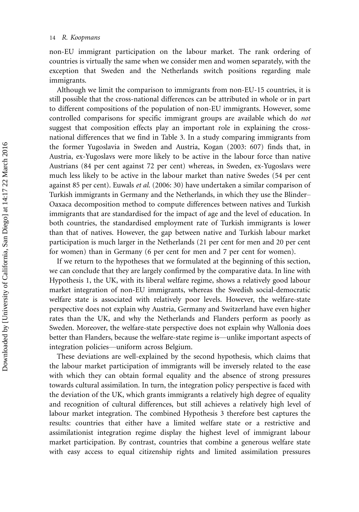non-EU immigrant participation on the labour market. The rank ordering of countries is virtually the same when we consider men and women separately, with the exception that Sweden and the Netherlands switch positions regarding male immigrants.

Although we limit the comparison to immigrants from non-EU-15 countries, it is still possible that the cross-national differences can be attributed in whole or in part to different compositions of the population of non-EU immigrants. However, some controlled comparisons for specific immigrant groups are available which do not suggest that composition effects play an important role in explaining the crossnational differences that we find in Table 3. In a study comparing immigrants from the former Yugoslavia in Sweden and Austria, Kogan (2003: 607) finds that, in Austria, ex-Yugoslavs were more likely to be active in the labour force than native Austrians (84 per cent against 72 per cent) whereas, in Sweden, ex-Yugoslavs were much less likely to be active in the labour market than native Swedes (54 per cent against 85 per cent). Euwals et al. (2006: 30) have undertaken a similar comparison of Turkish immigrants in Germany and the Netherlands, in which they use the Blinder- Oaxaca decomposition method to compute differences between natives and Turkish immigrants that are standardised for the impact of age and the level of education. In both countries, the standardised employment rate of Turkish immigrants is lower than that of natives. However, the gap between native and Turkish labour market participation is much larger in the Netherlands (21 per cent for men and 20 per cent for women) than in Germany (6 per cent for men and 7 per cent for women).

If we return to the hypotheses that we formulated at the beginning of this section, we can conclude that they are largely confirmed by the comparative data. In line with Hypothesis 1, the UK, with its liberal welfare regime, shows a relatively good labour market integration of non-EU immigrants, whereas the Swedish social-democratic welfare state is associated with relatively poor levels. However, the welfare-state perspective does not explain why Austria, Germany and Switzerland have even higher rates than the UK, and why the Netherlands and Flanders perform as poorly as Sweden. Moreover, the welfare-state perspective does not explain why Wallonia does better than Flanders, because the welfare-state regime is—unlike important aspects of integration policies—uniform across Belgium.

These deviations are well-explained by the second hypothesis, which claims that the labour market participation of immigrants will be inversely related to the ease with which they can obtain formal equality and the absence of strong pressures towards cultural assimilation. In turn, the integration policy perspective is faced with the deviation of the UK, which grants immigrants a relatively high degree of equality and recognition of cultural differences, but still achieves a relatively high level of labour market integration. The combined Hypothesis 3 therefore best captures the results: countries that either have a limited welfare state or a restrictive and assimilationist integration regime display the highest level of immigrant labour market participation. By contrast, countries that combine a generous welfare state with easy access to equal citizenship rights and limited assimilation pressures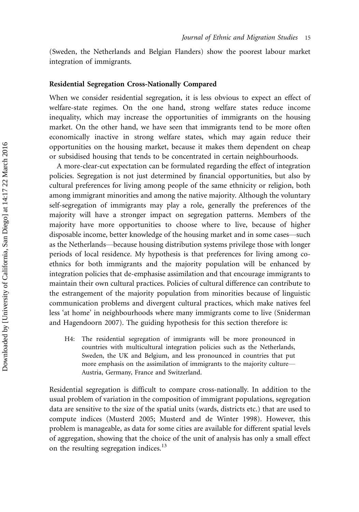(Sweden, the Netherlands and Belgian Flanders) show the poorest labour market integration of immigrants.

# Residential Segregation Cross-Nationally Compared

When we consider residential segregation, it is less obvious to expect an effect of welfare-state regimes. On the one hand, strong welfare states reduce income inequality, which may increase the opportunities of immigrants on the housing market. On the other hand, we have seen that immigrants tend to be more often economically inactive in strong welfare states, which may again reduce their opportunities on the housing market, because it makes them dependent on cheap or subsidised housing that tends to be concentrated in certain neighbourhoods.

A more-clear-cut expectation can be formulated regarding the effect of integration policies. Segregation is not just determined by financial opportunities, but also by cultural preferences for living among people of the same ethnicity or religion, both among immigrant minorities and among the native majority. Although the voluntary self-segregation of immigrants may play a role, generally the preferences of the majority will have a stronger impact on segregation patterns. Members of the majority have more opportunities to choose where to live, because of higher disposable income, better knowledge of the housing market and in some cases—such as the Netherlands—because housing distribution systems privilege those with longer periods of local residence. My hypothesis is that preferences for living among coethnics for both immigrants and the majority population will be enhanced by integration policies that de-emphasise assimilation and that encourage immigrants to maintain their own cultural practices. Policies of cultural difference can contribute to the estrangement of the majority population from minorities because of linguistic communication problems and divergent cultural practices, which make natives feel less 'at home' in neighbourhoods where many immigrants come to live (Sniderman and Hagendoorn 2007). The guiding hypothesis for this section therefore is:

H4: The residential segregation of immigrants will be more pronounced in countries with multicultural integration policies such as the Netherlands, Sweden, the UK and Belgium, and less pronounced in countries that put more emphasis on the assimilation of immigrants to the majority culture-Austria, Germany, France and Switzerland.

Residential segregation is difficult to compare cross-nationally. In addition to the usual problem of variation in the composition of immigrant populations, segregation data are sensitive to the size of the spatial units (wards, districts etc.) that are used to compute indices (Musterd 2005; Musterd and de Winter 1998). However, this problem is manageable, as data for some cities are available for different spatial levels of aggregation, showing that the choice of the unit of analysis has only a small effect on the resulting segregation indices.<sup>13</sup>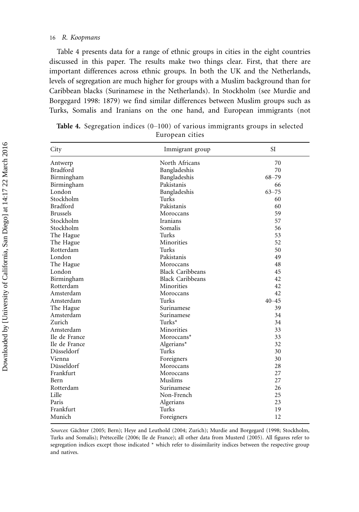#### 16 R. Koopmans

Table 4 presents data for a range of ethnic groups in cities in the eight countries discussed in this paper. The results make two things clear. First, that there are important differences across ethnic groups. In both the UK and the Netherlands, levels of segregation are much higher for groups with a Muslim background than for Caribbean blacks (Surinamese in the Netherlands). In Stockholm (see Murdie and Borgegard 1998: 1879) we find similar differences between Muslim groups such as Turks, Somalis and Iranians on the one hand, and European immigrants (not

| City            | Immigrant group         | <b>SI</b> |
|-----------------|-------------------------|-----------|
| Antwerp         | North Africans          | 70        |
| Bradford        | Bangladeshis            | 70        |
| Birmingham      | Bangladeshis            | $68 - 79$ |
| Birmingham      | Pakistanis              | 66        |
| London          | Bangladeshis            | $63 - 75$ |
| Stockholm       | Turks                   | 60        |
| Bradford        | Pakistanis              | 60        |
| <b>Brussels</b> | Moroccans               | 59        |
| Stockholm       | Iranians                | 57        |
| Stockholm       | Somalis                 | 56        |
| The Hague       | Turks                   | 53        |
| The Hague       | Minorities              | 52        |
| Rotterdam       | Turks                   | 50        |
| London          | Pakistanis              | 49        |
| The Hague       | Moroccans               | 48        |
| London          | <b>Black Caribbeans</b> | 45        |
| Birmingham      | <b>Black Caribbeans</b> | 42        |
| Rotterdam       | Minorities              | 42        |
| Amsterdam       | Moroccans               | 42        |
| Amsterdam       | Turks                   | $40 - 45$ |
| The Hague       | Surinamese              | 39        |
| Amsterdam       | Surinamese              | 34        |
| Zurich          | Turks*                  | 34        |
| Amsterdam       | Minorities              | 33        |
| Ile de France   | Moroccans*              | 33        |
| Ile de France   | Algerians*              | 32        |
| Düsseldorf      | Turks                   | 30        |
| Vienna          | Foreigners              | 30        |
| Düsseldorf      | Moroccans               | 28        |
| Frankfurt       | Moroccans               | 27        |
| Bern            | Muslims                 | 27        |
| Rotterdam       | Surinamese              | 26        |
| Lille           | Non-French              | 25        |
| Paris           | Algerians               | 23        |
| Frankfurt       | Turks                   | 19        |
| Munich          | Foreigners              | 12        |

|                 | <b>Table 4.</b> Segregation indices $(0-100)$ of various immigrants groups in selected |  |  |  |  |  |  |
|-----------------|----------------------------------------------------------------------------------------|--|--|--|--|--|--|
| European cities |                                                                                        |  |  |  |  |  |  |

Sources: Gächter (2005; Bern); Heye and Leuthold (2004; Zurich); Murdie and Borgegard (1998; Stockholm, Turks and Somalis); Préteceille (2006; Ile de France); all other data from Musterd (2005). All figures refer to segregation indices except those indicated \* which refer to dissimilarity indices between the respective group and natives.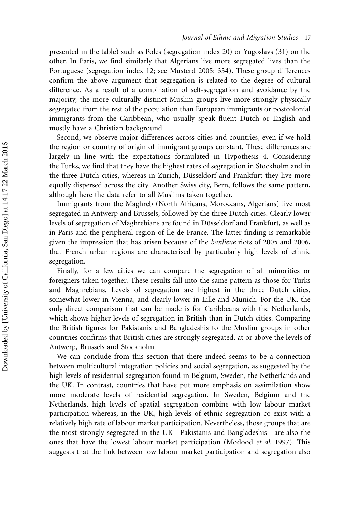presented in the table) such as Poles (segregation index 20) or Yugoslavs (31) on the other. In Paris, we find similarly that Algerians live more segregated lives than the Portuguese (segregation index 12; see Musterd 2005: 334). These group differences confirm the above argument that segregation is related to the degree of cultural difference. As a result of a combination of self-segregation and avoidance by the majority, the more culturally distinct Muslim groups live more-strongly physically segregated from the rest of the population than European immigrants or postcolonial immigrants from the Caribbean, who usually speak fluent Dutch or English and mostly have a Christian background.

Second, we observe major differences across cities and countries, even if we hold the region or country of origin of immigrant groups constant. These differences are largely in line with the expectations formulated in Hypothesis 4. Considering the Turks, we find that they have the highest rates of segregation in Stockholm and in the three Dutch cities, whereas in Zurich, Düsseldorf and Frankfurt they live more equally dispersed across the city. Another Swiss city, Bern, follows the same pattern, although here the data refer to all Muslims taken together.

Immigrants from the Maghreb (North Africans, Moroccans, Algerians) live most segregated in Antwerp and Brussels, followed by the three Dutch cities. Clearly lower levels of segregation of Maghrebians are found in Düsseldorf and Frankfurt, as well as in Paris and the peripheral region of  $\hat{I}$ le de France. The latter finding is remarkable given the impression that has arisen because of the banlieue riots of 2005 and 2006, that French urban regions are characterised by particularly high levels of ethnic segregation.

Finally, for a few cities we can compare the segregation of all minorities or foreigners taken together. These results fall into the same pattern as those for Turks and Maghrebians. Levels of segregation are highest in the three Dutch cities, somewhat lower in Vienna, and clearly lower in Lille and Munich. For the UK, the only direct comparison that can be made is for Caribbeans with the Netherlands, which shows higher levels of segregation in British than in Dutch cities. Comparing the British figures for Pakistanis and Bangladeshis to the Muslim groups in other countries confirms that British cities are strongly segregated, at or above the levels of Antwerp, Brussels and Stockholm.

We can conclude from this section that there indeed seems to be a connection between multicultural integration policies and social segregation, as suggested by the high levels of residential segregation found in Belgium, Sweden, the Netherlands and the UK. In contrast, countries that have put more emphasis on assimilation show more moderate levels of residential segregation. In Sweden, Belgium and the Netherlands, high levels of spatial segregation combine with low labour market participation whereas, in the UK, high levels of ethnic segregation co-exist with a relatively high rate of labour market participation. Nevertheless, those groups that are the most strongly segregated in the UK—Pakistanis and Bangladeshis—are also the ones that have the lowest labour market participation (Modood et al. 1997). This suggests that the link between low labour market participation and segregation also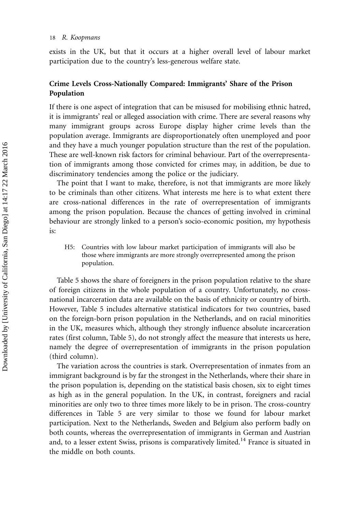exists in the UK, but that it occurs at a higher overall level of labour market participation due to the country's less-generous welfare state.

# Crime Levels Cross-Nationally Compared: Immigrants' Share of the Prison Population

If there is one aspect of integration that can be misused for mobilising ethnic hatred, it is immigrants' real or alleged association with crime. There are several reasons why many immigrant groups across Europe display higher crime levels than the population average. Immigrants are disproportionately often unemployed and poor and they have a much younger population structure than the rest of the population. These are well-known risk factors for criminal behaviour. Part of the overrepresentation of immigrants among those convicted for crimes may, in addition, be due to discriminatory tendencies among the police or the judiciary.

The point that I want to make, therefore, is not that immigrants are more likely to be criminals than other citizens. What interests me here is to what extent there are cross-national differences in the rate of overrepresentation of immigrants among the prison population. Because the chances of getting involved in criminal behaviour are strongly linked to a person's socio-economic position, my hypothesis is:

H5: Countries with low labour market participation of immigrants will also be those where immigrants are more strongly overrepresented among the prison population.

Table 5 shows the share of foreigners in the prison population relative to the share of foreign citizens in the whole population of a country. Unfortunately, no crossnational incarceration data are available on the basis of ethnicity or country of birth. However, Table 5 includes alternative statistical indicators for two countries, based on the foreign-born prison population in the Netherlands, and on racial minorities in the UK, measures which, although they strongly influence absolute incarceration rates (first column, Table 5), do not strongly affect the measure that interests us here, namely the degree of overrepresentation of immigrants in the prison population (third column).

The variation across the countries is stark. Overrepresentation of inmates from an immigrant background is by far the strongest in the Netherlands, where their share in the prison population is, depending on the statistical basis chosen, six to eight times as high as in the general population. In the UK, in contrast, foreigners and racial minorities are only two to three times more likely to be in prison. The cross-country differences in Table 5 are very similar to those we found for labour market participation. Next to the Netherlands, Sweden and Belgium also perform badly on both counts, whereas the overrepresentation of immigrants in German and Austrian and, to a lesser extent Swiss, prisons is comparatively limited.<sup>14</sup> France is situated in the middle on both counts.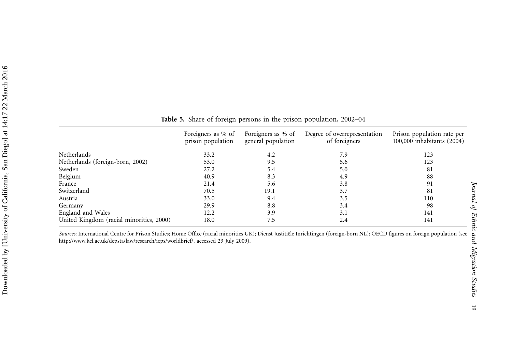|                                          | Foreigners as % of<br>prison population | Foreigners as % of<br>general population | Degree of overrepresentation<br>of foreigners | Prison population rate per<br>100,000 inhabitants (2004) |
|------------------------------------------|-----------------------------------------|------------------------------------------|-----------------------------------------------|----------------------------------------------------------|
| Netherlands                              | 33.2                                    | 4.2                                      | 7.9                                           | 123                                                      |
| Netherlands (foreign-born, 2002)         | 53.0                                    | 9.5                                      | 5.6                                           | 123                                                      |
| Sweden                                   | 27.2                                    | 5.4                                      | 5.0                                           | 81                                                       |
| Belgium                                  | 40.9                                    | 8.3                                      | 4.9                                           | 88                                                       |
| France                                   | 21.4                                    | 5.6                                      | 3.8                                           | 91                                                       |
| Switzerland                              | 70.5                                    | 19.1                                     | 3.7                                           | 81                                                       |
| Austria                                  | 33.0                                    | 9.4                                      | 3.5                                           | 110                                                      |
| Germany                                  | 29.9                                    | 8.8                                      | 3.4                                           | 98                                                       |
| England and Wales                        | 12.2                                    | 3.9                                      | 3.1                                           | 141                                                      |
| United Kingdom (racial minorities, 2000) | 18.0                                    | 7.5                                      | 2.4                                           | 141                                                      |

Table 5. Share of foreign persons in the prison population, <sup>2002</sup>-04

Sources: International Centre for Prison Studies; Home Office (racial minorities UK); Dienst Justitiële Inrichtingen (foreign-born NL); OECD figures on foreign population (see [http://www.kcl.ac.uk/depsta/law/research/icps/worldbrief/](http://www.migrationinformation.org/), accessed <sup>23</sup> July 2009).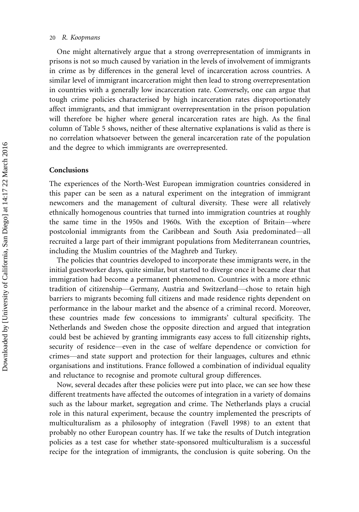#### 20 R. Koopmans

One might alternatively argue that a strong overrepresentation of immigrants in prisons is not so much caused by variation in the levels of involvement of immigrants in crime as by differences in the general level of incarceration across countries. A similar level of immigrant incarceration might then lead to strong overrepresentation in countries with a generally low incarceration rate. Conversely, one can argue that tough crime policies characterised by high incarceration rates disproportionately affect immigrants, and that immigrant overrepresentation in the prison population will therefore be higher where general incarceration rates are high. As the final column of Table 5 shows, neither of these alternative explanations is valid as there is no correlation whatsoever between the general incarceration rate of the population and the degree to which immigrants are overrepresented.

### Conclusions

The experiences of the North-West European immigration countries considered in this paper can be seen as a natural experiment on the integration of immigrant newcomers and the management of cultural diversity. These were all relatively ethnically homogenous countries that turned into immigration countries at roughly the same time in the 1950s and 1960s. With the exception of Britain—where postcolonial immigrants from the Caribbean and South Asia predominated-all recruited a large part of their immigrant populations from Mediterranean countries, including the Muslim countries of the Maghreb and Turkey.

The policies that countries developed to incorporate these immigrants were, in the initial guestworker days, quite similar, but started to diverge once it became clear that immigration had become a permanent phenomenon. Countries with a more ethnic tradition of citizenship-Germany, Austria and Switzerland-chose to retain high barriers to migrants becoming full citizens and made residence rights dependent on performance in the labour market and the absence of a criminal record. Moreover, these countries made few concessions to immigrants' cultural specificity. The Netherlands and Sweden chose the opposite direction and argued that integration could best be achieved by granting immigrants easy access to full citizenship rights, security of residence—even in the case of welfare dependence or conviction for crimes—and state support and protection for their languages, cultures and ethnic organisations and institutions. France followed a combination of individual equality and reluctance to recognise and promote cultural group differences.

Now, several decades after these policies were put into place, we can see how these different treatments have affected the outcomes of integration in a variety of domains such as the labour market, segregation and crime. The Netherlands plays a crucial role in this natural experiment, because the country implemented the prescripts of multiculturalism as a philosophy of integration (Favell 1998) to an extent that probably no other European country has. If we take the results of Dutch integration policies as a test case for whether state-sponsored multiculturalism is a successful recipe for the integration of immigrants, the conclusion is quite sobering. On the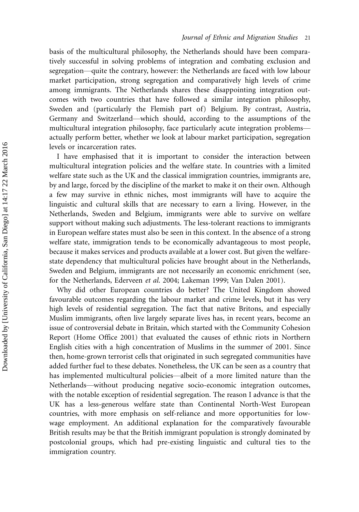basis of the multicultural philosophy, the Netherlands should have been comparatively successful in solving problems of integration and combating exclusion and segregation—quite the contrary, however: the Netherlands are faced with low labour market participation, strong segregation and comparatively high levels of crime among immigrants. The Netherlands shares these disappointing integration outcomes with two countries that have followed a similar integration philosophy, Sweden and (particularly the Flemish part of) Belgium. By contrast, Austria, Germany and Switzerland—which should, according to the assumptions of the multicultural integration philosophy, face particularly acute integration problems\* actually perform better, whether we look at labour market participation, segregation levels or incarceration rates.

I have emphasised that it is important to consider the interaction between multicultural integration policies and the welfare state. In countries with a limited welfare state such as the UK and the classical immigration countries, immigrants are, by and large, forced by the discipline of the market to make it on their own. Although a few may survive in ethnic niches, most immigrants will have to acquire the linguistic and cultural skills that are necessary to earn a living. However, in the Netherlands, Sweden and Belgium, immigrants were able to survive on welfare support without making such adjustments. The less-tolerant reactions to immigrants in European welfare states must also be seen in this context. In the absence of a strong welfare state, immigration tends to be economically advantageous to most people, because it makes services and products available at a lower cost. But given the welfarestate dependency that multicultural policies have brought about in the Netherlands, Sweden and Belgium, immigrants are not necessarily an economic enrichment (see, for the Netherlands, Ederveen et al. 2004; Lakeman 1999; Van Dalen 2001).

Why did other European countries do better? The United Kingdom showed favourable outcomes regarding the labour market and crime levels, but it has very high levels of residential segregation. The fact that native Britons, and especially Muslim immigrants, often live largely separate lives has, in recent years, become an issue of controversial debate in Britain, which started with the Community Cohesion Report (Home Office 2001) that evaluated the causes of ethnic riots in Northern English cities with a high concentration of Muslims in the summer of 2001. Since then, home-grown terrorist cells that originated in such segregated communities have added further fuel to these debates. Nonetheless, the UK can be seen as a country that has implemented multicultural policies—albeit of a more limited nature than the Netherlands—without producing negative socio-economic integration outcomes, with the notable exception of residential segregation. The reason I advance is that the UK has a less-generous welfare state than Continental North-West European countries, with more emphasis on self-reliance and more opportunities for lowwage employment. An additional explanation for the comparatively favourable British results may be that the British immigrant population is strongly dominated by postcolonial groups, which had pre-existing linguistic and cultural ties to the immigration country.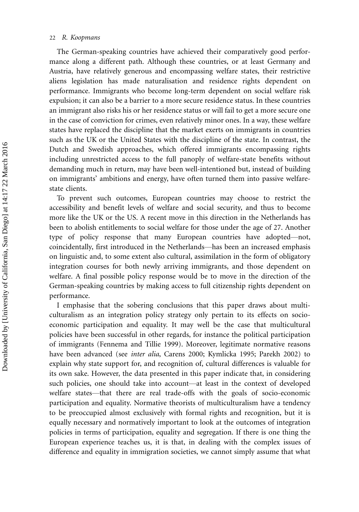The German-speaking countries have achieved their comparatively good performance along a different path. Although these countries, or at least Germany and Austria, have relatively generous and encompassing welfare states, their restrictive aliens legislation has made naturalisation and residence rights dependent on performance. Immigrants who become long-term dependent on social welfare risk expulsion; it can also be a barrier to a more secure residence status. In these countries an immigrant also risks his or her residence status or will fail to get a more secure one in the case of conviction for crimes, even relatively minor ones. In a way, these welfare states have replaced the discipline that the market exerts on immigrants in countries such as the UK or the United States with the discipline of the state. In contrast, the Dutch and Swedish approaches, which offered immigrants encompassing rights including unrestricted access to the full panoply of welfare-state benefits without demanding much in return, may have been well-intentioned but, instead of building on immigrants' ambitions and energy, have often turned them into passive welfarestate clients.

To prevent such outcomes, European countries may choose to restrict the accessibility and benefit levels of welfare and social security, and thus to become more like the UK or the US. A recent move in this direction in the Netherlands has been to abolish entitlements to social welfare for those under the age of 27. Another type of policy response that many European countries have adopted—not, coincidentally, first introduced in the Netherlands—has been an increased emphasis on linguistic and, to some extent also cultural, assimilation in the form of obligatory integration courses for both newly arriving immigrants, and those dependent on welfare. A final possible policy response would be to move in the direction of the German-speaking countries by making access to full citizenship rights dependent on performance.

I emphasise that the sobering conclusions that this paper draws about multiculturalism as an integration policy strategy only pertain to its effects on socioeconomic participation and equality. It may well be the case that multicultural policies have been successful in other regards, for instance the political participation of immigrants (Fennema and Tillie 1999). Moreover, legitimate normative reasons have been advanced (see inter alia, Carens 2000; Kymlicka 1995; Parekh 2002) to explain why state support for, and recognition of, cultural differences is valuable for its own sake. However, the data presented in this paper indicate that, in considering such policies, one should take into account—at least in the context of developed welfare states—that there are real trade-offs with the goals of socio-economic participation and equality. Normative theorists of multiculturalism have a tendency to be preoccupied almost exclusively with formal rights and recognition, but it is equally necessary and normatively important to look at the outcomes of integration policies in terms of participation, equality and segregation. If there is one thing the European experience teaches us, it is that, in dealing with the complex issues of difference and equality in immigration societies, we cannot simply assume that what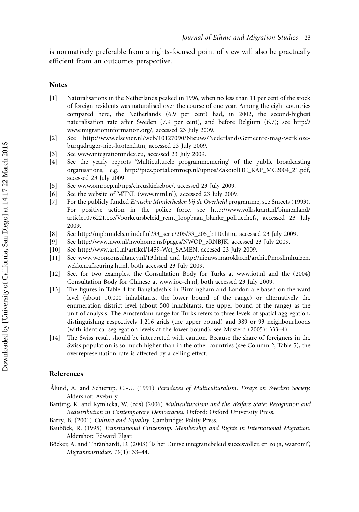is normatively preferable from a rights-focused point of view will also be practically efficient from an outcomes perspective.

#### **Notes**

- [1] Naturalisations in the Netherlands peaked in 1996, when no less than 11 per cent of the stock of foreign residents was naturalised over the course of one year. Among the eight countries compared here, the Netherlands (6.9 per cent) had, in 2002, the second-highest naturalisation rate after Sweden (7.9 per cent), and before Belgium (6.7); see [http://](http://www.migrationinformation.org/) [www.migrationinformation.org/,](http://www.migrationinformation.org/) accessed 23 July 2009.
- [2] See [http://www.elsevier.nl/web/10127090/Nieuws/Nederland/Gemeente-mag-werkloze](http://www.elsevier.nl/web/10127090/Nieuws/Nederland/Gemeente-mag-werkloze-burqadrager-niet-korten.htm)[burqadrager-niet-korten.htm](http://www.elsevier.nl/web/10127090/Nieuws/Nederland/Gemeente-mag-werkloze-burqadrager-niet-korten.htm), accessed 23 July 2009.
- [3] See [www.integrationindex.eu,](www.integrationindex.eu) accessed 23 July 2009.
- [4] See the yearly reports 'Multiculturele programmemering' of the public broadcasting organisations, e.g. [http://pics.portal.omroep.nl/upnos/ZakoiolHC\\_RAP\\_MC2004\\_21.pdf](http://pics.portal.omroep.nl/upnos/ZakoiolHC_RAP_MC2004_21.pdf), accessed 23 July 2009.
- [5] See [www.omroep.nl/nps/circuskiekeboe/,](www.omroep.nl/nps/circuskiekeboe/) accessed 23 July 2009.
- [6] See the website of MTNL [\(www.mtnl.nl\)](http://www.mtnl.nl), accessed 23 July 2009.
- [7] For the publicly funded *Etnische Minderheden bij de Overheid* programme, see Smeets (1993). For positive action in the police force, see [http://www.volkskrant.nl/binnenland/](http://www.volkskrant.nl/binnenland/article1076221.ece/Voorkeursbeleid_remt_loopbaan_blanke_politiechefs) [article1076221.ece/Voorkeursbeleid\\_remt\\_loopbaan\\_blanke\\_politiechefs](http://www.volkskrant.nl/binnenland/article1076221.ece/Voorkeursbeleid_remt_loopbaan_blanke_politiechefs), accessed 23 July 2009.
- [8] See [http://mpbundels.mindef.nl/33\\_serie/205/33\\_205\\_b110.htm](http://mpbundels.mindef.nl/33_serie/205/33_205_b110.htm), accessed 23 July 2009.
- [9] See [http://www.nwo.nl/nwohome.nsf/pages/NWOP\\_5RNBJK,](http://www.nwo.nl/nwohome.nsf/pages/NWOP_5RNBJK) accessed 23 July 2009.
- [10] See [http://www.art1.nl/artikel/1459-Wet\\_SAMEN,](http://www.art1.nl/artikel/1459-Wet_SAMEN) accesed 23 July 2009.
- [11] See [www.woonconsultancy.nl/13.html](http://www.woonconsultancy.nl/13.html) and [http://nieuws.marokko.nl/archief/moslimhuizen.](http://nieuws.marokko.nl/archief/moslimhuizen.wekken.afkeuring.html) [wekken.afkeuring.html,](http://nieuws.marokko.nl/archief/moslimhuizen.wekken.afkeuring.html) both accessed 23 July 2009.
- [12] See, for two examples, the Consultation Body for Turks at [www.iot.nl](http://www.iot.nl) and the (2004) Consultation Body for Chinese at [www.ioc-ch.nl,](http://www.ioc-ch.nl) both accessed 23 July 2009.
- [13] The figures in Table 4 for Bangladeshis in Birmingham and London are based on the ward level (about 10,000 inhabitants, the lower bound of the range) or alternatively the enumeration district level (about 500 inhabitants, the upper bound of the range) as the unit of analysis. The Amsterdam range for Turks refers to three levels of spatial aggregation, distinguishing respectively 1,216 grids (the upper bound) and 389 or 93 neighbourhoods (with identical segregation levels at the lower bound); see Musterd (2005): 333-4).
- [14] The Swiss result should be interpreted with caution. Because the share of foreigners in the Swiss population is so much higher than in the other countries (see Column 2, Table 5), the overrepresentation rate is affected by a ceiling effect.

#### References

- Ålund, A. and Schierup, C.-U. (1991) Paradoxes of Multiculturalism. Essays on Swedish Society. Aldershot: Avebury.
- Banting, K. and Kymlicka, W. (eds) (2006) Multiculturalism and the Welfare State: Recognition and Redistribution in Contemporary Democracies. Oxford: Oxford University Press.
- Barry, B. (2001) Culture and Equality. Cambridge: Polity Press.
- Bauböck, R. (1995) Transnational Citizenship. Membership and Rights in International Migration. Aldershot: Edward Elgar.
- Böcker, A. and Thränhardt, D. (2003) 'Is het Duitse integratiebeleid succesvoller, en zo ja, waarom?', Migrantenstudies, 19(1): 33-44.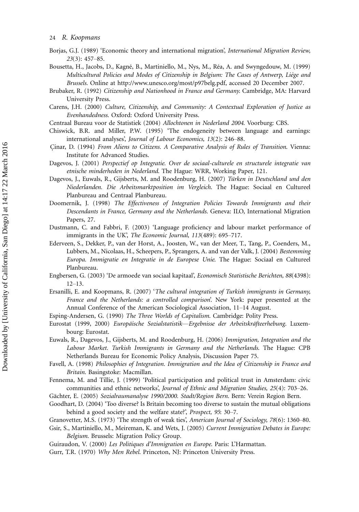#### 24 R. Koopmans

- Borjas, G.J. (1989) 'Economic theory and international migration', International Migration Review, 23(3): 457-85.
- Bousetta, H., Jacobs, D., Kagné, B., Martiniello, M., Nys, M., Réa, A. and Swyngedouw, M. (1999) Multicultural Policies and Modes of Citizenship in Belgium: The Cases of Antwerp, Liège and Brussels. Online at<http://www.unesco.org/most/p97belg.pdf>, accessed 20 December 2007.
- Brubaker, R. (1992) Citizenship and Nationhood in France and Germany. Cambridge, MA: Harvard University Press.
- Carens, J.H. (2000) Culture, Citizenship, and Community: A Contextual Exploration of Justice as Evenhandedness. Oxford: Oxford University Press.
- Centraal Bureau voor de Statistiek (2004) Allochtonen in Nederland 2004. Voorburg: CBS.
- Chiswick, B.R. and Miller, P.W. (1995) 'The endogeneity between language and earnings: international analyses', Journal of Labour Economics, 13(2): 246-88.
- Cinar, D. (1994) From Aliens to Citizens. A Comparative Analysis of Rules of Transition. Vienna: Institute for Advanced Studies.
- Dagevos, J. (2001) Perspectief op Integratie. Over de sociaal-culturele en structurele integratie van etnische minderheden in Nederland. The Hague: WRR, Working Paper, 121.
- Dagevos, J., Euwals, R., Gijsberts, M. and Roodenburg, H. (2007) Türken in Deutschland und den Niederlanden. Die Arbeitsmarktposition im Vergleich. The Hague: Sociaal en Cultureel Planbureau and Centraal Planbureau.
- Doomernik, J. (1998) The Effectiveness of Integration Policies Towards Immigrants and their Descendants in France, Germany and the Netherlands. Geneva: ILO, International Migration Papers, 27.
- Dustmann, C. and Fabbri, F. (2003) 'Language proficiency and labour market performance of immigrants in the UK', The Economic Journal, 113(489): 695-717.
- Ederveen, S., Dekker, P., van der Horst, A., Joosten, W., van der Meer, T., Tang, P., Coenders, M., Lubbers, M., Nicolaas, H., Scheepers, P., Sprangers, A. and van der Valk, J. (2004) Bestemming Europa. Immigratie en Integratie in de Europese Unie. The Hague: Sociaal en Cultureel Planbureau.
- Engbersen, G. (2003) 'De armoede van sociaal kapitaal', Economisch Statistische Berichten, 88(4398): 12-13.
- Ersanilli, E. and Koopmans, R. (2007) 'The cultural integration of Turkish immigrants in Germany, France and the Netherlands: a controlled comparison'. New York: paper presented at the Annual Conference of the American Sociological Association, 11-14 August.
- Esping-Andersen, G. (1990) The Three Worlds of Capitalism. Cambridge: Polity Press.
- Eurostat (1999, 2000) Europäische Sozialstatistik-Ergebnisse der Arbeitskräfteerhebung. Luxembourg: Eurostat.
- Euwals, R., Dagevos, J., Gijsberts, M. and Roodenburg, H. (2006) Immigration, Integration and the Labour Market. Turkish Immigrants in Germany and the Netherlands. The Hague: CPB Netherlands Bureau for Economic Policy Analysis, Discussion Paper 75.
- Favell, A. (1998) Philosophies of Integration. Immigration and the Idea of Citizenship in France and Britain. Basingstoke: Macmillan.
- Fennema, M. and Tillie, J. (1999) 'Political participation and political trust in Amsterdam: civic communities and ethnic networks', Journal of Ethnic and Migration Studies, 25(4): 703-26.

Gächter, E. (2005) Sozialraumanalyse 1990/2000. Stadt/Region Bern. Bern: Verein Region Bern.

Goodhart, D. (2004) 'Too diverse? Is Britain becoming too diverse to sustain the mutual obligations behind a good society and the welfare state?', Prospect, 95: 30-7.

Granovetter, M.S. (1973) 'The strength of weak ties', American Journal of Sociology, 78(6): 1360-80. Gsir, S., Martiniello, M., Meireman, K. and Wets, J. (2005) Current Immigration Debates in Europe: Belgium. Brussels: Migration Policy Group.

Guiraudon, V. (2000) Les Politiques d'Immigration en Europe. Paris: L'Harmattan.

Gurr, T.R. (1970) Why Men Rebel. Princeton, NJ: Princeton University Press.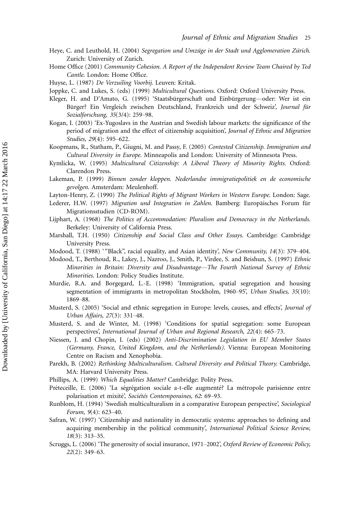- Heye, C. and Leuthold, H. (2004) Segregation und Umzüge in der Stadt und Agglomeration Zürich. Zurich: University of Zurich.
- Home Office (2001) Community Cohesion. A Report of the Independent Review Team Chaired by Ted Cantle. London: Home Office.
- Huyse, L. (1987) De Verzuiling Voorbij. Leuven: Kritak.
- Joppke, C. and Lukes, S. (eds) (1999) Multicultural Questions. Oxford: Oxford University Press.
- Kleger, H. and D'Amato, G. (1995) 'Staatsbürgerschaft und Einbürgerung—oder: Wer ist ein Bürger? Ein Vergleich zwischen Deutschland, Frankreich und der Schweiz', Journal für Sozialforschung, 35(3/4): 259-98.
- Kogan, I. (2003) 'Ex-Yugoslavs in the Austrian and Swedish labour markets: the significance of the period of migration and the effect of citizenship acquisition', Journal of Ethnic and Migration Studies, 29(4): 595-622.
- Koopmans, R., Statham, P., Giugni, M. and Passy, F. (2005) Contested Citizenship. Immigration and Cultural Diversity in Europe. Minneapolis and London: University of Minnesota Press.
- Kymlicka, W. (1995) Multicultural Citizenship: A Liberal Theory of Minority Rights. Oxford: Clarendon Press.
- Lakeman, P. (1999) Binnen zonder kloppen. Nederlandse immigratiepolitiek en de economische gevolgen. Amsterdam: Meulenhoff.
- Layton-Henry, Z. (1990) The Political Rights of Migrant Workers in Western Europe. London: Sage.
- Lederer, H.W. (1997) Migration und Integration in Zahlen. Bamberg: Europäisches Forum für Migrationsstudien (CD-ROM).
- Lijphart, A. (1968) The Politics of Accommodation: Pluralism and Democracy in the Netherlands. Berkeley: University of California Press.
- Marshall, T.H. (1950) Citizenship and Social Class and Other Essays. Cambridge: Cambridge University Press.
- Modood, T. (1988) '"Black", racial equality, and Asian identity', *New Community, 14*(3): 379–404.
- Modood, T., Berthoud, R., Lakey, J., Nazroo, J., Smith, P., Virdee, S. and Beishun, S. (1997) Ethnic Minorities in Britain: Diversity and Disadvantage—The Fourth National Survey of Ethnic Minorities. London: Policy Studies Institute.
- Murdie, R.A. and Borgegard, L.-E. (1998) 'Immigration, spatial segregation and housing segmentation of immigrants in metropolitan Stockholm, 1960–95', Urban Studies, 35(10): 1869-88.
- Musterd, S. (2005) 'Social and ethnic segregation in Europe: levels, causes, and effects', Journal of Urban Affairs, 27(3): 331-48.
- Musterd, S. and de Winter, M. (1998) 'Conditions for spatial segregation: some European perspectives', International Journal of Urban and Regional Research, 22(4): 665-73.
- Niessen, J. and Chopin, I. (eds) (2002) Anti-Discrimination Legislation in EU Member States (Germany, France, United Kingdom, and the Netherlands). Vienna: European Monitoring Centre on Racism and Xenophobia.
- Parekh, B. (2002) Rethinking Multiculturalism. Cultural Diversity and Political Theory. Cambridge, MA: Harvard University Press.
- Phillips, A. (1999) Which Equalities Matter? Cambridge: Polity Press.
- Préteceille, E. (2006) 'La ségrégation sociale a-t-elle augmenté? La métropole parisienne entre polarisation et mixité', Sociétés Contemporaines, 62: 69-93.
- Runblom, H. (1994) 'Swedish multiculturalism in a comparative European perspective', Sociological Forum, 9(4): 623-40.
- Safran, W. (1997) 'Citizenship and nationality in democratic systems: approaches to defining and acquiring membership in the political community', International Political Science Review, 18(3): 313-35.
- Scruggs, L. (2006) 'The generosity of social insurance, 1971-2002', Oxford Review of Economic Policy, 22(2): 349-63.